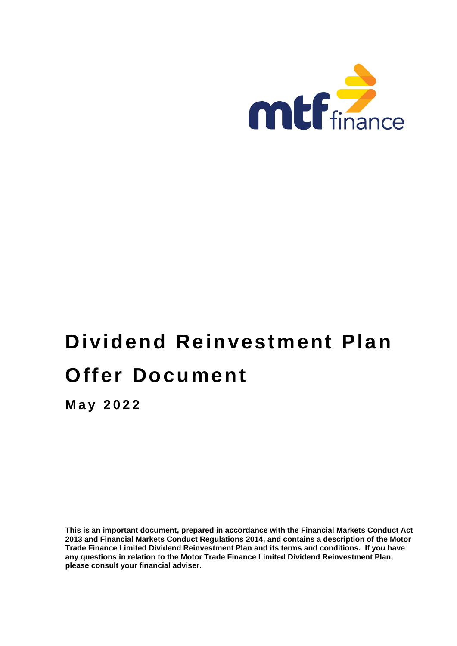

# **Dividend Reinvestment Plan Offer Document**

**M a y 2022**

**This is an important document, prepared in accordance with the Financial Markets Conduct Act 2013 and Financial Markets Conduct Regulations 2014, and contains a description of the Motor Trade Finance Limited Dividend Reinvestment Plan and its terms and conditions. If you have any questions in relation to the Motor Trade Finance Limited Dividend Reinvestment Plan, please consult your financial adviser.**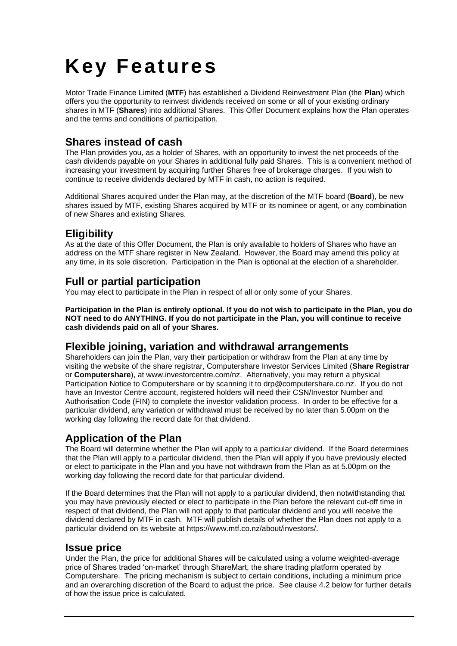# **Key Features**

Motor Trade Finance Limited (**MTF**) has established a Dividend Reinvestment Plan (the **Plan**) which offers you the opportunity to reinvest dividends received on some or all of your existing ordinary shares in MTF (**Shares**) into additional Shares. This Offer Document explains how the Plan operates and the terms and conditions of participation.

# **Shares instead of cash**

The Plan provides you, as a holder of Shares, with an opportunity to invest the net proceeds of the cash dividends payable on your Shares in additional fully paid Shares. This is a convenient method of increasing your investment by acquiring further Shares free of brokerage charges. If you wish to continue to receive dividends declared by MTF in cash, no action is required.

Additional Shares acquired under the Plan may, at the discretion of the MTF board (**Board**), be new shares issued by MTF, existing Shares acquired by MTF or its nominee or agent, or any combination of new Shares and existing Shares.

# **Eligibility**

As at the date of this Offer Document, the Plan is only available to holders of Shares who have an address on the MTF share register in New Zealand. However, the Board may amend this policy at any time, in its sole discretion. Participation in the Plan is optional at the election of a shareholder.

## **Full or partial participation**

You may elect to participate in the Plan in respect of all or only some of your Shares.

**Participation in the Plan is entirely optional. If you do not wish to participate in the Plan, you do NOT need to do ANYTHING. If you do not participate in the Plan, you will continue to receive cash dividends paid on all of your Shares.**

### **Flexible joining, variation and withdrawal arrangements**

Shareholders can join the Plan, vary their participation or withdraw from the Plan at any time by visiting the website of the share registrar, Computershare Investor Services Limited (**Share Registrar** or **Computershare**), at www.investorcentre.com/nz. Alternatively, you may return a physical Participation Notice to Computershare or by scanning it to drp@computershare.co.nz. If you do not have an Investor Centre account, registered holders will need their CSN/Investor Number and Authorisation Code (FIN) to complete the investor validation process. In order to be effective for a particular dividend, any variation or withdrawal must be received by no later than 5.00pm on the working day following the record date for that dividend.

## **Application of the Plan**

The Board will determine whether the Plan will apply to a particular dividend. If the Board determines that the Plan will apply to a particular dividend, then the Plan will apply if you have previously elected or elect to participate in the Plan and you have not withdrawn from the Plan as at 5.00pm on the working day following the record date for that particular dividend.

If the Board determines that the Plan will not apply to a particular dividend, then notwithstanding that you may have previously elected or elect to participate in the Plan before the relevant cut-off time in respect of that dividend, the Plan will not apply to that particular dividend and you will receive the dividend declared by MTF in cash. MTF will publish details of whether the Plan does not apply to a particular dividend on its website at https://www.mtf.co.nz/about/investors/.

## **Issue price**

Under the Plan, the price for additional Shares will be calculated using a volume weighted-average price of Shares traded 'on-market' through ShareMart, the share trading platform operated by Computershare. The pricing mechanism is subject to certain conditions, including a minimum price and an overarching discretion of the Board to adjust the price. See clause 4.2 below for further details of how the issue price is calculated.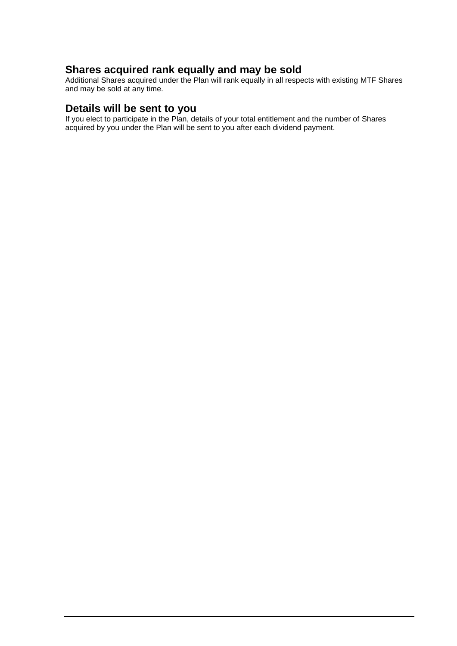# **Shares acquired rank equally and may be sold**

Additional Shares acquired under the Plan will rank equally in all respects with existing MTF Shares and may be sold at any time.

### **Details will be sent to you**

If you elect to participate in the Plan, details of your total entitlement and the number of Shares acquired by you under the Plan will be sent to you after each dividend payment.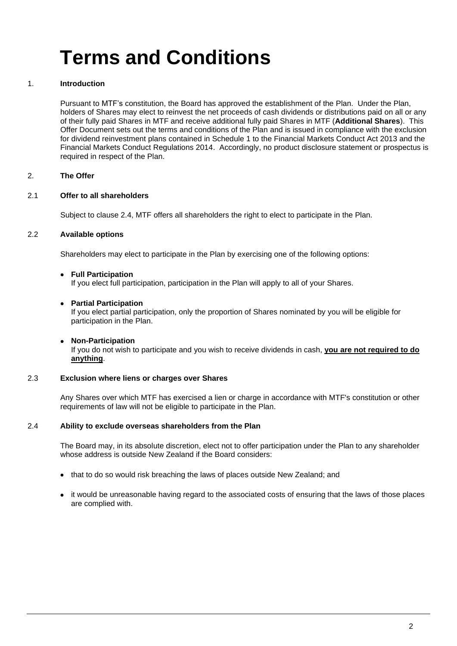# **Terms and Conditions**

#### 1. **Introduction**

Pursuant to MTF's constitution, the Board has approved the establishment of the Plan. Under the Plan, holders of Shares may elect to reinvest the net proceeds of cash dividends or distributions paid on all or any of their fully paid Shares in MTF and receive additional fully paid Shares in MTF (**Additional Shares**). This Offer Document sets out the terms and conditions of the Plan and is issued in compliance with the exclusion for dividend reinvestment plans contained in Schedule 1 to the Financial Markets Conduct Act 2013 and the Financial Markets Conduct Regulations 2014. Accordingly, no product disclosure statement or prospectus is required in respect of the Plan.

#### 2. **The Offer**

#### 2.1 **Offer to all shareholders**

Subject to clause 2.4, MTF offers all shareholders the right to elect to participate in the Plan.

#### 2.2 **Available options**

Shareholders may elect to participate in the Plan by exercising one of the following options:

#### • **Full Participation**

If you elect full participation, participation in the Plan will apply to all of your Shares.

#### • **Partial Participation**

If you elect partial participation, only the proportion of Shares nominated by you will be eligible for participation in the Plan.

#### • **Non-Participation**

If you do not wish to participate and you wish to receive dividends in cash, **you are not required to do anything**.

#### 2.3 **Exclusion where liens or charges over Shares**

Any Shares over which MTF has exercised a lien or charge in accordance with MTF's constitution or other requirements of law will not be eligible to participate in the Plan.

#### 2.4 **Ability to exclude overseas shareholders from the Plan**

The Board may, in its absolute discretion, elect not to offer participation under the Plan to any shareholder whose address is outside New Zealand if the Board considers:

- that to do so would risk breaching the laws of places outside New Zealand; and
- it would be unreasonable having regard to the associated costs of ensuring that the laws of those places are complied with.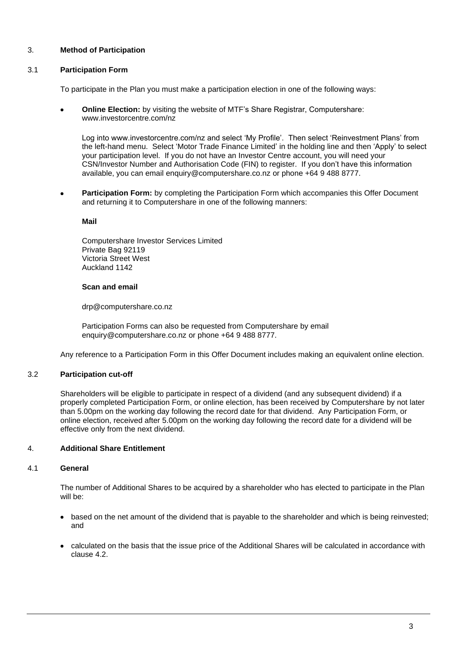#### 3. **Method of Participation**

#### 3.1 **Participation Form**

To participate in the Plan you must make a participation election in one of the following ways:

• **Online Election:** by visiting the website of MTF's Share Registrar, Computershare: www.investorcentre.com/nz

Log into www.investorcentre.com/nz and select 'My Profile'. Then select 'Reinvestment Plans' from the left-hand menu. Select 'Motor Trade Finance Limited' in the holding line and then 'Apply' to select your participation level. If you do not have an Investor Centre account, you will need your CSN/Investor Number and Authorisation Code (FIN) to register. If you don't have this information available, you can email enquiry@computershare.co.nz or phone +64 9 488 8777.

• **Participation Form:** by completing the Participation Form which accompanies this Offer Document and returning it to Computershare in one of the following manners:

#### **Mail**

Computershare Investor Services Limited Private Bag 92119 Victoria Street West Auckland 1142

#### **Scan and email**

drp@computershare.co.nz

Participation Forms can also be requested from Computershare by email enquiry@computershare.co.nz or phone +64 9 488 8777.

Any reference to a Participation Form in this Offer Document includes making an equivalent online election.

#### 3.2 **Participation cut-off**

Shareholders will be eligible to participate in respect of a dividend (and any subsequent dividend) if a properly completed Participation Form, or online election, has been received by Computershare by not later than 5.00pm on the working day following the record date for that dividend. Any Participation Form, or online election, received after 5.00pm on the working day following the record date for a dividend will be effective only from the next dividend.

#### <span id="page-4-0"></span>4. **Additional Share Entitlement**

#### 4.1 **General**

The number of Additional Shares to be acquired by a shareholder who has elected to participate in the Plan will be:

- based on the net amount of the dividend that is payable to the shareholder and which is being reinvested; and
- calculated on the basis that the issue price of the Additional Shares will be calculated in accordance with clause 4.2.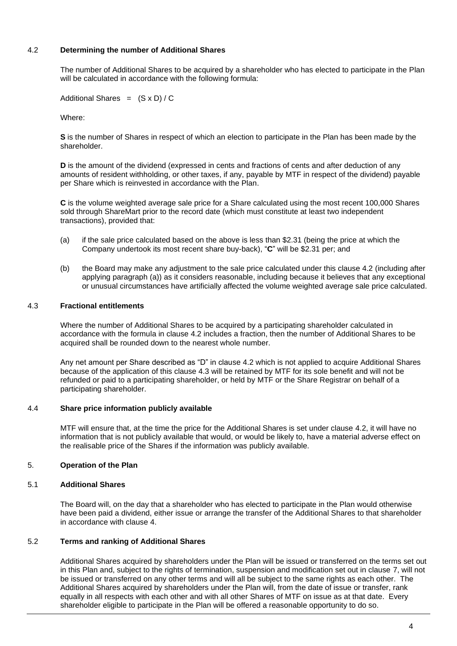#### <span id="page-5-0"></span>4.2 **Determining the number of Additional Shares**

The number of Additional Shares to be acquired by a shareholder who has elected to participate in the Plan will be calculated in accordance with the following formula:

Additional Shares =  $(S \times D) / C$ 

Where:

**S** is the number of Shares in respect of which an election to participate in the Plan has been made by the shareholder.

**D** is the amount of the dividend (expressed in cents and fractions of cents and after deduction of any amounts of resident withholding, or other taxes, if any, payable by MTF in respect of the dividend) payable per Share which is reinvested in accordance with the Plan.

**C** is the volume weighted average sale price for a Share calculated using the most recent 100,000 Shares sold through ShareMart prior to the record date (which must constitute at least two independent transactions), provided that:

- (a) if the sale price calculated based on the above is less than \$2.31 (being the price at which the Company undertook its most recent share buy-back), "**C**" will be \$2.31 per; and
- (b) the Board may make any adjustment to the sale price calculated under this clause 4.2 (including after applying paragraph (a)) as it considers reasonable, including because it believes that any exceptional or unusual circumstances have artificially affected the volume weighted average sale price calculated.

#### 4.3 **Fractional entitlements**

Where the number of Additional Shares to be acquired by a participating shareholder calculated in accordance with the formula in clause [4.2](#page-5-0) includes a fraction, then the number of Additional Shares to be acquired shall be rounded down to the nearest whole number.

Any net amount per Share described as "D" in clause 4.2 which is not applied to acquire Additional Shares because of the application of this clause 4.3 will be retained by MTF for its sole benefit and will not be refunded or paid to a participating shareholder, or held by MTF or the Share Registrar on behalf of a participating shareholder.

#### 4.4 **Share price information publicly available**

MTF will ensure that, at the time the price for the Additional Shares is set under clause [4.2,](#page-5-0) it will have no information that is not publicly available that would, or would be likely to, have a material adverse effect on the realisable price of the Shares if the information was publicly available.

#### 5. **Operation of the Plan**

#### 5.1 **Additional Shares**

The Board will, on the day that a shareholder who has elected to participate in the Plan would otherwise have been paid a dividend, either issue or arrange the transfer of the Additional Shares to that shareholder in accordance with clause [4.](#page-4-0)

#### 5.2 **Terms and ranking of Additional Shares**

Additional Shares acquired by shareholders under the Plan will be issued or transferred on the terms set out in this Plan and, subject to the rights of termination, suspension and modification set out in clause [7,](#page-7-0) will not be issued or transferred on any other terms and will all be subject to the same rights as each other. The Additional Shares acquired by shareholders under the Plan will, from the date of issue or transfer, rank equally in all respects with each other and with all other Shares of MTF on issue as at that date. Every shareholder eligible to participate in the Plan will be offered a reasonable opportunity to do so.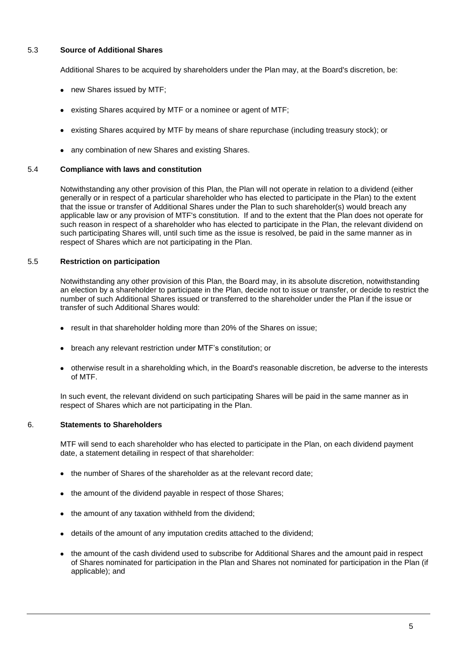#### 5.3 **Source of Additional Shares**

Additional Shares to be acquired by shareholders under the Plan may, at the Board's discretion, be:

- new Shares issued by MTF;
- existing Shares acquired by MTF or a nominee or agent of MTF;
- existing Shares acquired by MTF by means of share repurchase (including treasury stock); or
- any combination of new Shares and existing Shares.

#### 5.4 **Compliance with laws and constitution**

Notwithstanding any other provision of this Plan, the Plan will not operate in relation to a dividend (either generally or in respect of a particular shareholder who has elected to participate in the Plan) to the extent that the issue or transfer of Additional Shares under the Plan to such shareholder(s) would breach any applicable law or any provision of MTF's constitution. If and to the extent that the Plan does not operate for such reason in respect of a shareholder who has elected to participate in the Plan, the relevant dividend on such participating Shares will, until such time as the issue is resolved, be paid in the same manner as in respect of Shares which are not participating in the Plan.

#### 5.5 **Restriction on participation**

Notwithstanding any other provision of this Plan, the Board may, in its absolute discretion, notwithstanding an election by a shareholder to participate in the Plan, decide not to issue or transfer, or decide to restrict the number of such Additional Shares issued or transferred to the shareholder under the Plan if the issue or transfer of such Additional Shares would:

- result in that shareholder holding more than 20% of the Shares on issue;
- breach any relevant restriction under MTF's constitution; or
- otherwise result in a shareholding which, in the Board's reasonable discretion, be adverse to the interests of MTF.

In such event, the relevant dividend on such participating Shares will be paid in the same manner as in respect of Shares which are not participating in the Plan.

#### 6. **Statements to Shareholders**

MTF will send to each shareholder who has elected to participate in the Plan, on each dividend payment date, a statement detailing in respect of that shareholder:

- the number of Shares of the shareholder as at the relevant record date;
- the amount of the dividend payable in respect of those Shares;
- the amount of any taxation withheld from the dividend;
- details of the amount of any imputation credits attached to the dividend;
- the amount of the cash dividend used to subscribe for Additional Shares and the amount paid in respect of Shares nominated for participation in the Plan and Shares not nominated for participation in the Plan (if applicable); and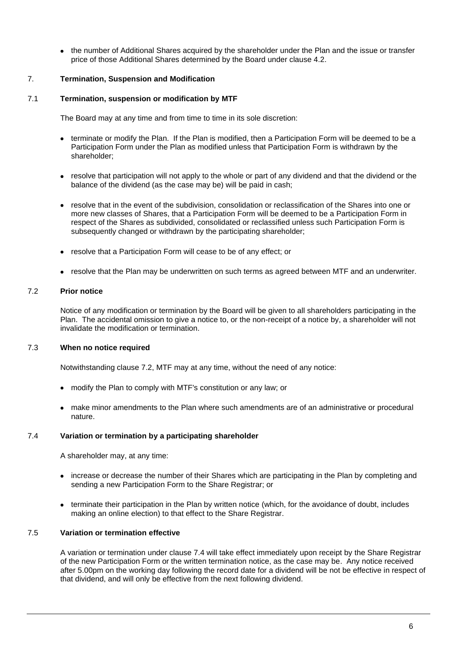• the number of Additional Shares acquired by the shareholder under the Plan and the issue or transfer price of those Additional Shares determined by the Board under clause [4.2.](#page-5-0)

#### <span id="page-7-0"></span>7. **Termination, Suspension and Modification**

#### 7.1 **Termination, suspension or modification by MTF**

The Board may at any time and from time to time in its sole discretion:

- terminate or modify the Plan. If the Plan is modified, then a Participation Form will be deemed to be a Participation Form under the Plan as modified unless that Participation Form is withdrawn by the shareholder;
- resolve that participation will not apply to the whole or part of any dividend and that the dividend or the balance of the dividend (as the case may be) will be paid in cash;
- resolve that in the event of the subdivision, consolidation or reclassification of the Shares into one or more new classes of Shares, that a Participation Form will be deemed to be a Participation Form in respect of the Shares as subdivided, consolidated or reclassified unless such Participation Form is subsequently changed or withdrawn by the participating shareholder;
- resolve that a Participation Form will cease to be of any effect; or
- resolve that the Plan may be underwritten on such terms as agreed between MTF and an underwriter.

#### <span id="page-7-1"></span>7.2 **Prior notice**

Notice of any modification or termination by the Board will be given to all shareholders participating in the Plan. The accidental omission to give a notice to, or the non-receipt of a notice by, a shareholder will not invalidate the modification or termination.

#### 7.3 **When no notice required**

Notwithstanding clause [7.2,](#page-7-1) MTF may at any time, without the need of any notice:

- modify the Plan to comply with MTF's constitution or any law; or
- make minor amendments to the Plan where such amendments are of an administrative or procedural nature.

#### <span id="page-7-2"></span>7.4 **Variation or termination by a participating shareholder**

A shareholder may, at any time:

- increase or decrease the number of their Shares which are participating in the Plan by completing and sending a new Participation Form to the Share Registrar; or
- terminate their participation in the Plan by written notice (which, for the avoidance of doubt, includes making an online election) to that effect to the Share Registrar.

#### 7.5 **Variation or termination effective**

A variation or termination under clause [7.4](#page-7-2) will take effect immediately upon receipt by the Share Registrar of the new Participation Form or the written termination notice, as the case may be. Any notice received after 5.00pm on the working day following the record date for a dividend will be not be effective in respect of that dividend, and will only be effective from the next following dividend.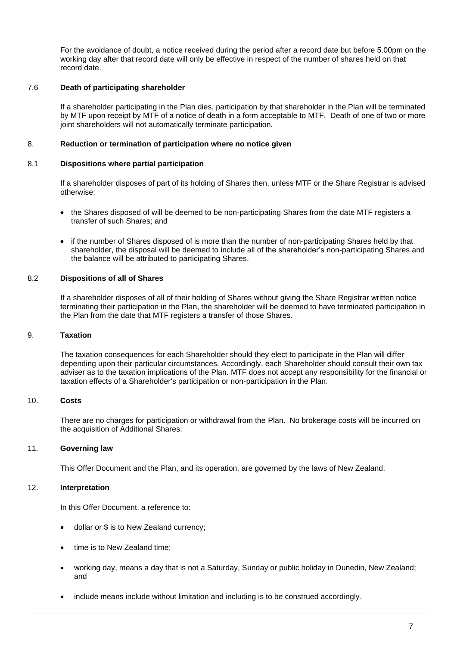For the avoidance of doubt, a notice received during the period after a record date but before 5.00pm on the working day after that record date will only be effective in respect of the number of shares held on that record date.

#### 7.6 **Death of participating shareholder**

If a shareholder participating in the Plan dies, participation by that shareholder in the Plan will be terminated by MTF upon receipt by MTF of a notice of death in a form acceptable to MTF. Death of one of two or more joint shareholders will not automatically terminate participation.

#### 8. **Reduction or termination of participation where no notice given**

#### 8.1 **Dispositions where partial participation**

If a shareholder disposes of part of its holding of Shares then, unless MTF or the Share Registrar is advised otherwise:

- the Shares disposed of will be deemed to be non-participating Shares from the date MTF registers a transfer of such Shares; and
- if the number of Shares disposed of is more than the number of non-participating Shares held by that shareholder, the disposal will be deemed to include all of the shareholder's non-participating Shares and the balance will be attributed to participating Shares.

#### 8.2 **Dispositions of all of Shares**

If a shareholder disposes of all of their holding of Shares without giving the Share Registrar written notice terminating their participation in the Plan, the shareholder will be deemed to have terminated participation in the Plan from the date that MTF registers a transfer of those Shares.

#### 9. **Taxation**

The taxation consequences for each Shareholder should they elect to participate in the Plan will differ depending upon their particular circumstances. Accordingly, each Shareholder should consult their own tax adviser as to the taxation implications of the Plan. MTF does not accept any responsibility for the financial or taxation effects of a Shareholder's participation or non-participation in the Plan.

#### 10. **Costs**

There are no charges for participation or withdrawal from the Plan. No brokerage costs will be incurred on the acquisition of Additional Shares.

#### 11. **Governing law**

This Offer Document and the Plan, and its operation, are governed by the laws of New Zealand.

#### 12. **Interpretation**

In this Offer Document, a reference to:

- dollar or \$ is to New Zealand currency;
- time is to New Zealand time;
- working day, means a day that is not a Saturday, Sunday or public holiday in Dunedin, New Zealand; and
- include means include without limitation and including is to be construed accordingly.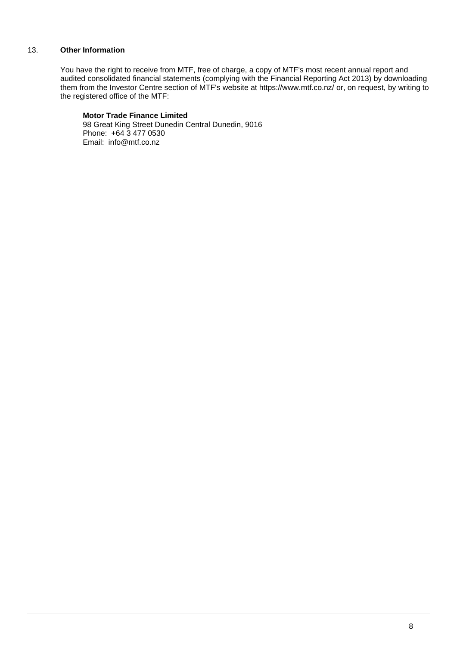#### 13. **Other Information**

You have the right to receive from MTF, free of charge, a copy of MTF's most recent annual report and audited consolidated financial statements (complying with the Financial Reporting Act 2013) by downloading them from the Investor Centre section of MTF's website at https://www.mtf.co.nz/ or, on request, by writing to the registered office of the MTF:

#### **Motor Trade Finance Limited**

98 Great King Street Dunedin Central Dunedin, 9016 Phone: +64 3 477 0530 Email: info@mtf.co.nz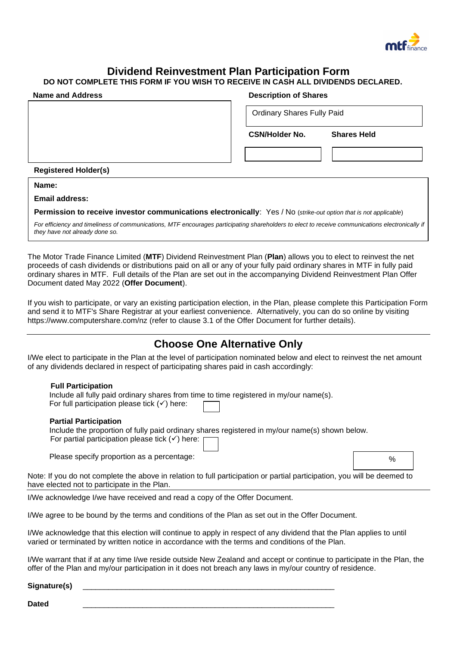

# **Dividend Reinvestment Plan Participation Form**

### **DO NOT COMPLETE THIS FORM IF YOU WISH TO RECEIVE IN CASH ALL DIVIDENDS DECLARED.**

| <b>Name and Address</b>     | <b>Description of Shares</b>                |
|-----------------------------|---------------------------------------------|
|                             | <b>Ordinary Shares Fully Paid</b>           |
|                             | <b>CSN/Holder No.</b><br><b>Shares Held</b> |
|                             |                                             |
| <b>Registered Holder(s)</b> |                                             |
| Name:                       |                                             |

**Email address:** 

**Permission to receive investor communications electronically**: Yes / No (*strike-out option that is not applicable*)

*For efficiency and timeliness of communications, MTF encourages participating shareholders to elect to receive communications electronically if they have not already done so.*

The Motor Trade Finance Limited (**MTF**) Dividend Reinvestment Plan (**Plan**) allows you to elect to reinvest the net proceeds of cash dividends or distributions paid on all or any of your fully paid ordinary shares in MTF in fully paid ordinary shares in MTF. Full details of the Plan are set out in the accompanying Dividend Reinvestment Plan Offer Document dated May 2022 (**Offer Document**).

If you wish to participate, or vary an existing participation election, in the Plan, please complete this Participation Form and send it to MTF's Share Registrar at your earliest convenience. Alternatively, you can do so online by visiting https://www.computershare.com/nz (refer to clause 3.1 of the Offer Document for further details).

# **Choose One Alternative Only**

I/We elect to participate in the Plan at the level of participation nominated below and elect to reinvest the net amount of any dividends declared in respect of participating shares paid in cash accordingly:

#### **Full Participation**

| Include all fully paid ordinary shares from time to time registered in my/our name(s). |  |
|----------------------------------------------------------------------------------------|--|
| For full participation please tick $(\checkmark)$ here:                                |  |

#### **Partial Participation**

Include the proportion of fully paid ordinary shares registered in my/our name(s) shown below. For partial participation please tick  $(√)$  here:

Please specify proportion as a percentage:

Note: If you do not complete the above in relation to full participation or partial participation, you will be deemed to have elected not to participate in the Plan.

I/We acknowledge I/we have received and read a copy of the Offer Document.

I/We agree to be bound by the terms and conditions of the Plan as set out in the Offer Document.

I/We acknowledge that this election will continue to apply in respect of any dividend that the Plan applies to until varied or terminated by written notice in accordance with the terms and conditions of the Plan.

I/We warrant that if at any time I/we reside outside New Zealand and accept or continue to participate in the Plan, the offer of the Plan and my/our participation in it does not breach any laws in my/our country of residence.

#### Signature(s)

**Dated** \_\_\_\_\_\_\_\_\_\_\_\_\_\_\_\_\_\_\_\_\_\_\_\_\_\_\_\_\_\_\_\_\_\_\_\_\_\_\_\_\_\_\_\_\_\_\_\_\_\_\_\_\_\_\_\_\_\_\_